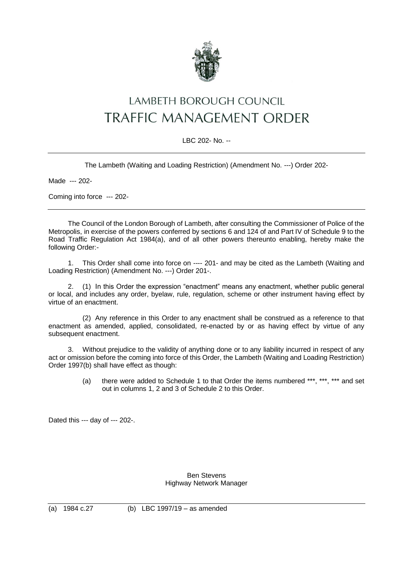

## **LAMBETH BOROUGH COUNCIL TRAFFIC MANAGEMENT ORDER**

## LBC 202- No. --

The Lambeth (Waiting and Loading Restriction) (Amendment No. ---) Order 202-

Made --- 202-

Coming into force --- 202-

The Council of the London Borough of Lambeth, after consulting the Commissioner of Police of the Metropolis, in exercise of the powers conferred by sections 6 and 124 of and Part IV of Schedule 9 to the Road Traffic Regulation Act 1984(a), and of all other powers thereunto enabling, hereby make the following Order:-

1. This Order shall come into force on ---- 201- and may be cited as the Lambeth (Waiting and Loading Restriction) (Amendment No. ---) Order 201-.

2. (1) In this Order the expression "enactment" means any enactment, whether public general or local, and includes any order, byelaw, rule, regulation, scheme or other instrument having effect by virtue of an enactment.

(2) Any reference in this Order to any enactment shall be construed as a reference to that enactment as amended, applied, consolidated, re-enacted by or as having effect by virtue of any subsequent enactment.

3. Without prejudice to the validity of anything done or to any liability incurred in respect of any act or omission before the coming into force of this Order, the Lambeth (Waiting and Loading Restriction) Order 1997(b) shall have effect as though:

> (a) there were added to Schedule 1 to that Order the items numbered \*\*\*, \*\*\*, \*\*\* and set out in columns 1, 2 and 3 of Schedule 2 to this Order.

Dated this --- day of --- 202-.

Ben Stevens Highway Network Manager